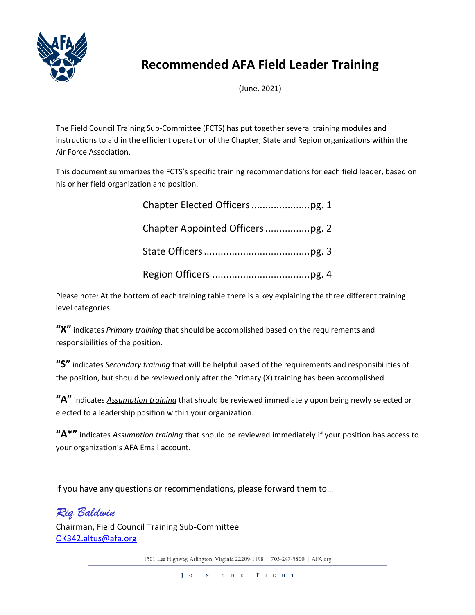

# **Recommended AFA Field Leader Training**

(June, 2021)

The Field Council Training Sub-Committee (FCTS) has put together several training modules and instructions to aid in the efficient operation of the Chapter, State and Region organizations within the Air Force Association.

This document summarizes the FCTS's specific training recommendations for each field leader, based on his or her field organization and position.

Please note: At the bottom of each training table there is a key explaining the three different training level categories:

**"X"** indicates *Primary training* that should be accomplished based on the requirements and responsibilities of the position.

**"S"** indicates *Secondary training* that will be helpful based of the requirements and responsibilities of the position, but should be reviewed only after the Primary (X) training has been accomplished.

**"A"** indicates *Assumption training* that should be reviewed immediately upon being newly selected or elected to a leadership position within your organization.

**"A\*"** indicates *Assumption training* that should be reviewed immediately if your position has access to your organization's AFA Email account.

If you have any questions or recommendations, please forward them to…

## *Riq Baldwin*

Chairman, Field Council Training Sub-Committee [OK342.altus@afa.org](mailto:OK342.altus@afa.org)

1501 Lee Highway, Arlington, Virginia 22209-1198 | 703-247-5800 | AFA.org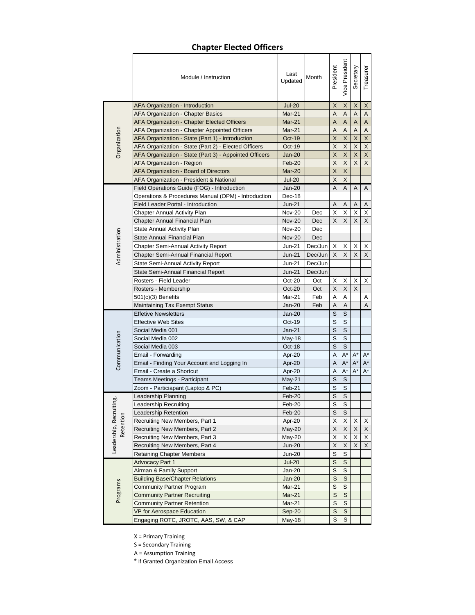#### **Chapter Elected Officers**

|                      | Module / Instruction                                   | Last<br>Updated         | Month   | President      | Vice President          | Secretary          | Treasurer                 |
|----------------------|--------------------------------------------------------|-------------------------|---------|----------------|-------------------------|--------------------|---------------------------|
|                      | AFA Organization - Introduction                        | <b>Jul-20</b>           |         | $\mathsf X$    | $\sf X$                 | $\mathsf X$        | $\overline{\mathsf{X}}$   |
|                      | AFA Organization - Chapter Basics                      | Mar-21                  |         | A              | A                       | A                  | $\boldsymbol{\mathsf{A}}$ |
|                      | <b>AFA Organization - Chapter Elected Officers</b>     | Mar-21                  |         | A              | Α                       | A                  | A                         |
|                      | AFA Organization - Chapter Appointed Officers          | Mar-21                  |         | Α              | A                       | A                  | $\overline{A}$            |
|                      | AFA Organization - State (Part 1) - Introduction       | Oct-19                  |         | X              | $\pmb{\times}$          | $\mathsf X$        | $\mathsf X$               |
| Organization         | AFA Organization - State (Part 2) - Elected Officers   | Oct-19                  |         | X              | $\sf X$                 | $\mathsf X$        | $\mathsf X$               |
|                      | AFA Organization - State (Part 3) - Appointed Officers | <b>Jan-20</b>           |         | X              | X                       | X                  | $\mathsf X$               |
|                      | <b>AFA Organization - Region</b>                       | Feb-20                  |         | X              | X                       | X                  | $\overline{\mathsf{x}}$   |
|                      | AFA Organization - Board of Directors                  | Mar-20<br><b>Jul-20</b> |         | X              | X                       |                    |                           |
|                      | AFA Organization - President & National                |                         |         | X              | X                       |                    |                           |
|                      | Field Operations Guide (FOG) - Introduction            | Jan-20                  |         | Α              | Α                       | Α                  | Α                         |
|                      | Operations & Procedures Manual (OPM) - Introduction    | Dec-18                  |         |                |                         |                    |                           |
|                      | Field Leader Portal - Introduction                     | Jun-21                  |         | A              | A                       | A                  | A                         |
|                      | <b>Chapter Annual Activity Plan</b>                    | <b>Nov-20</b>           | Dec     | Х              | X                       | Χ                  | X                         |
|                      | Chapter Annual Financial Plan                          | <b>Nov-20</b>           | Dec     | X              | X                       | X                  | X                         |
|                      | State Annual Activity Plan                             | <b>Nov-20</b>           | Dec     |                |                         |                    |                           |
| Administration       | State Annual Financial Plan                            | <b>Nov-20</b>           | Dec     |                |                         |                    |                           |
|                      | Chapter Semi-Annual Activity Report                    | Jun-21                  | Dec/Jun | Х              | X                       | X                  | X                         |
|                      | Chapter Semi-Annual Financial Report                   | <b>Jun-21</b>           | Dec/Jun | X              | X                       | X                  | X                         |
|                      | State Semi-Annual Activity Report                      | Jun-21                  | Dec/Jun |                |                         |                    |                           |
|                      | State Semi-Annual Financial Report                     | <b>Jun-21</b>           | Dec/Jun |                |                         |                    |                           |
|                      | Rosters - Field Leader                                 | $Oct-20$                | Oct     | Х              | Х                       | Х                  | Х                         |
|                      | Rosters - Membership                                   | $Oct-20$                | Oct     | X              | X                       | X                  |                           |
|                      | 501(c)(3) Benefits                                     | Mar-21                  | Feb     | Α              | Α                       |                    | Α                         |
|                      | Maintaining Tax Exempt Status                          | Jan-20                  | Feb     | Α              | Α                       |                    | A                         |
|                      | <b>Effetive Newsletters</b>                            | Jan-20                  |         | S              | S                       |                    |                           |
|                      | Effective Web Sites                                    | $Oct-19$                |         | S              | S                       |                    |                           |
|                      | Social Media 001                                       | Jan-21                  |         | S              | S                       |                    |                           |
| Communication        | Social Media 002                                       | $May-18$                |         | S              | S                       |                    |                           |
|                      | Social Media 003                                       | Oct-18                  |         | $\mathsf S$    | $\mathsf S$             |                    |                           |
|                      | Email - Forwarding                                     | Apr-20                  |         | Α              | $A^*$                   | $A^*$              | $A^*$                     |
|                      | Email - Finding Your Account and Logging In            | Apr-20                  |         | A              | $A^*$                   | $A^*$              | $A^*$                     |
|                      | Email - Create a Shortcut                              | Apr-20                  |         | А              | $\mathsf{A}^\star$      | $\mathsf{A}^\star$ | $A^*$                     |
|                      | Teams Meetings - Participant                           | $May-21$                |         | $\mathsf S$    | $\mathsf S$             |                    |                           |
|                      | Zoom - Particiapant (Laptop & PC)                      | Feb-21                  |         | S              | S                       |                    |                           |
| pò<br>C              | Leadership Planning                                    | Feb-20                  |         | $\overline{s}$ | $\overline{s}$          |                    |                           |
|                      | Leadership Recruiting                                  | Feb-20                  |         | $\overline{s}$ | $\overline{\mathsf{s}}$ |                    |                           |
| Leadership, Recruiti | Leadership Retention                                   | Feb-20                  |         | $\mathsf S$    | S                       |                    |                           |
| Retention            | Recruiting New Members, Part 1                         | Apr-20                  |         | Χ              | х                       | Х                  | X                         |
|                      | Recruiting New Members, Part 2                         | May-20                  |         | X              | X                       | X                  | X                         |
|                      | Recruiting New Members, Part 3                         | May-20                  |         | Χ              | Χ                       | X                  | X                         |
|                      | Recruiting New Members, Part 4                         | <b>Jun-20</b>           |         | X              | X                       | X                  | $\mathsf X$               |
|                      | <b>Retaining Chapter Members</b>                       | <b>Jun-20</b>           |         | $\mathbb S$    | S                       |                    |                           |
|                      | <b>Advocacy Part 1</b>                                 | <b>Jul-20</b>           |         | S              | S                       |                    |                           |
|                      | Airman & Family Support                                | Jan-20                  |         | S              | S                       |                    |                           |
|                      | Building Base/Chapter Relations                        | Jan-20                  |         | S              | $\mathsf S$             |                    |                           |
|                      | Community Partner Program                              | Mar-21                  |         | S              | S                       |                    |                           |
| Programs             | <b>Community Partner Recruiting</b>                    | Mar-21                  |         | S              | S                       |                    |                           |
|                      | <b>Community Partner Retention</b>                     | Mar-21                  |         | S              | S                       |                    |                           |
|                      | VP for Aerospace Education                             | Sep-20                  |         | $\mathbf S$    | $\mathsf S$             |                    |                           |
|                      | Engaging ROTC, JROTC, AAS, SW, & CAP                   | May-18                  |         | $\overline{s}$ | $\mathbb S$             |                    |                           |

X = Primary Training

S = Secondary Training

A = Assumption Training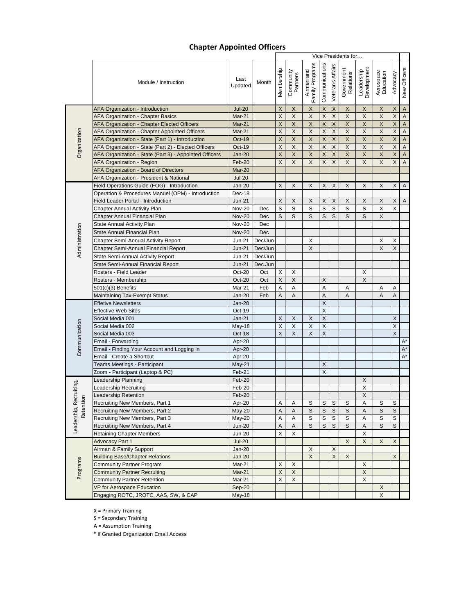#### **Chapter Appointed Officers**

|                |                                                        |                 |            |                           | Vice Presidents for   |                               |                           |                  |                         |                           |                        |                           |                         |  |  |  |
|----------------|--------------------------------------------------------|-----------------|------------|---------------------------|-----------------------|-------------------------------|---------------------------|------------------|-------------------------|---------------------------|------------------------|---------------------------|-------------------------|--|--|--|
|                | Module / Instruction                                   | Last<br>Updated | Month      | Membership                | Community<br>Partners | Airmen and<br>Family Programs | Communications            | Veterans Affairs | Government<br>Relations | Leadership<br>Development | Aerospace<br>Education | Advocacy                  | New Officers            |  |  |  |
|                | <b>AFA Organization - Introduction</b>                 | <b>Jul-20</b>   |            | X                         | X                     | X                             | $\boldsymbol{\mathsf{X}}$ | X                | X                       | X                         | X                      | $\mathsf X$               | $\mathsf A$             |  |  |  |
|                | AFA Organization - Chapter Basics                      | Mar-21          |            | $\boldsymbol{\mathsf{X}}$ | X                     | X                             | $\mathsf X$               | X                | $\mathsf X$             | X                         | X                      | $\mathsf X$               | A                       |  |  |  |
|                | <b>AFA Organization - Chapter Elected Officers</b>     | Mar-21          |            | X                         | X                     | X                             | $\mathsf{X}$              | $\pmb{\times}$   | $\mathsf X$             | $\mathsf{X}$              | $\mathsf{X}$           | $\mathsf X$               | $\sf A$                 |  |  |  |
|                | AFA Organization - Chapter Appointed Officers          | Mar-21          |            | X                         | X                     | X                             | $\mathsf X$               | $\mathsf X$      | $\mathsf X$             | $\mathsf{X}$              | X                      | X                         | $\mathsf A$             |  |  |  |
|                | AFA Organization - State (Part 1) - Introduction       | $Oct-19$        |            | X                         | X                     | X                             | $\mathsf X$               | X                | X                       | X                         | X                      | $\boldsymbol{\mathsf{X}}$ | $\mathsf A$             |  |  |  |
|                | AFA Organization - State (Part 2) - Elected Officers   | $Oct-19$        |            | X                         | X                     | X                             | $\times$                  | X                | X                       | X                         | X                      | X                         | $\mathsf A$             |  |  |  |
| Organization   | AFA Organization - State (Part 3) - Appointed Officers | $Jan-20$        |            | $\boldsymbol{\mathsf{X}}$ | X                     | X                             | $\sf X$                   | X                | $\mathsf{X}$            | $\mathsf X$               | $\mathsf X$            | $\overline{\mathsf{X}}$   | $\overline{\mathsf{A}}$ |  |  |  |
|                | <b>AFA Organization - Region</b>                       | Feb-20          |            | X                         | X                     | X                             | X                         | X                | X                       | X                         | X                      | X                         | A                       |  |  |  |
|                | AFA Organization - Board of Directors                  | Mar-20          |            |                           |                       |                               |                           |                  |                         |                           |                        |                           |                         |  |  |  |
|                | AFA Organization - President & National                | <b>Jul-20</b>   |            |                           |                       |                               |                           |                  |                         |                           |                        |                           |                         |  |  |  |
|                | Field Operations Guide (FOG) - Introduction            | $Jan-20$        |            | X                         | X                     | X                             | X                         | X                | X                       | X                         | X                      | X                         | A                       |  |  |  |
|                | Operation & Procedures Manuel (OPM) - Introduction     | Dec-18          |            |                           |                       |                               |                           |                  |                         |                           |                        |                           |                         |  |  |  |
|                | Field Leader Portal - Introduction                     | $Jun-21$        |            | X                         | X                     | X                             | X                         | X                | X                       | X                         | X                      | X                         | A                       |  |  |  |
|                | <b>Chapter Annual Activity Plan</b>                    | <b>Nov-20</b>   | Dec        | S                         | S                     | S                             | S                         | S                | S                       | S                         | X                      | X                         |                         |  |  |  |
|                | Chapter Annual Financial Plan                          | <b>Nov-20</b>   | <b>Dec</b> | S                         | S                     | S                             | S                         | S                | S                       | S                         | X                      |                           |                         |  |  |  |
|                | State Annual Activity Plan                             | <b>Nov-20</b>   | Dec        |                           |                       |                               |                           |                  |                         |                           |                        |                           |                         |  |  |  |
|                | State Annual Financial Plan                            | <b>Nov-20</b>   | Dec        |                           |                       |                               |                           |                  |                         |                           |                        |                           |                         |  |  |  |
| Administration | Chapter Semi-Annual Activity Report                    | Jun-21          | Dec/Jun    |                           |                       | Χ                             |                           |                  |                         |                           | X                      | X                         |                         |  |  |  |
|                | Chapter Semi-Annual Financial Report                   | $Jun-21$        | Dec/Jun    |                           |                       | $\mathsf{X}$                  |                           |                  |                         |                           | X                      | X                         |                         |  |  |  |
|                | State Semi-Annual Activity Report                      | Jun-21          | Dec/Jun    |                           |                       |                               |                           |                  |                         |                           |                        |                           |                         |  |  |  |
|                | State Semi-Annual Financial Report                     | $Jun-21$        | Dec.Jun    |                           |                       |                               |                           |                  |                         |                           |                        |                           |                         |  |  |  |
|                | Rosters - Field Leader                                 | Oct-20          | Oct        | X                         | Х                     |                               |                           |                  |                         | Х                         |                        |                           |                         |  |  |  |
|                | Rosters - Membership                                   | $Oct-20$        | Oct        | X                         | X                     |                               | X                         |                  |                         | X                         |                        |                           |                         |  |  |  |
|                | 501(c)(3) Benefits                                     | Mar-21          | Feb        | A                         | A                     |                               | A                         |                  | A                       |                           | Α                      | A                         |                         |  |  |  |
|                | <b>Maintaining Tax-Exempt Status</b>                   | $Jan-20$        | Feb        | Α                         | A                     |                               | A                         |                  | $\overline{A}$          |                           | Α                      | A                         |                         |  |  |  |
|                | <b>Effetive Newsletters</b>                            | $Jan-20$        |            |                           |                       |                               | X                         |                  |                         |                           |                        |                           |                         |  |  |  |
|                | <b>Effective Web Sites</b>                             | Oct-19          |            |                           |                       |                               | $\times$                  |                  |                         |                           |                        |                           |                         |  |  |  |
|                | Social Media 001                                       | $Jan-21$        |            | X                         | X                     | X                             | $\boldsymbol{\mathsf{X}}$ |                  |                         |                           |                        | X                         |                         |  |  |  |
|                | Social Media 002                                       | <b>May-18</b>   |            | $\mathsf X$               | X                     | X                             | $\boldsymbol{\mathsf{X}}$ |                  |                         |                           |                        | X                         |                         |  |  |  |
| Communication  | Social Media 003                                       | Oct-18          |            | X                         | X                     | X                             | X                         |                  |                         |                           |                        | X                         |                         |  |  |  |
|                | Email - Forwarding                                     | Apr-20          |            |                           |                       |                               |                           |                  |                         |                           |                        |                           | A*                      |  |  |  |
|                | Email - Finding Your Account and Logging In            | Apr-20          |            |                           |                       |                               |                           |                  |                         |                           |                        |                           | $A^*$                   |  |  |  |
|                | Email - Create a Shortcut                              | Apr-20          |            |                           |                       |                               |                           |                  |                         |                           |                        |                           | $A^*$                   |  |  |  |
|                | Teams Meetings - Participant                           | May-21          |            |                           |                       |                               | X                         |                  |                         |                           |                        |                           |                         |  |  |  |
|                | Zoom - Participant (Laptop & PC)                       | Feb-21          |            |                           |                       |                               | X                         |                  |                         |                           |                        |                           |                         |  |  |  |
|                | Leadership Planning                                    | Feb-20          |            |                           |                       |                               |                           |                  |                         | X                         |                        |                           |                         |  |  |  |
| cruiting,      | <b>Leadership Recruiting</b>                           | Feb-20          |            |                           |                       |                               |                           |                  |                         | X                         |                        |                           |                         |  |  |  |
|                | <b>Leadership Retention</b>                            | Feb-20          |            |                           |                       |                               |                           |                  |                         | X                         |                        |                           |                         |  |  |  |
| Retention      | Recruiting New Members, Part 1                         | Apr-20          |            | Α                         | Α                     | S                             | $\mathsf S$               | S                | S                       | Α                         | S                      | S                         |                         |  |  |  |
| Leadership, Re | Recruiting New Members, Part 2                         | May-20          |            | $\mathsf A$               | Α                     | S                             | S                         | S                | $\mathbb S$             | A                         | $\mathbb S$            | S                         |                         |  |  |  |
|                | Recruiting New Members, Part 3                         | May-20          |            | Α                         | Α                     | S                             | $\mathbb S$               | S                | S                       | Α                         | $\mathbb S$            | S                         |                         |  |  |  |
|                | Recruiting New Members, Part 4                         | $Jun-20$        |            | $\mathsf A$               | Α                     | S                             | $\mathsf S$               | S                | $\mathsf S$             | Α                         | $\mathsf S$            | S                         |                         |  |  |  |
|                | <b>Retaining Chapter Members</b>                       | <b>Jun-20</b>   |            | X                         | X                     |                               |                           |                  |                         | X                         |                        |                           |                         |  |  |  |
|                | <b>Advocacy Part 1</b>                                 | $Jul-20$        |            |                           |                       |                               |                           |                  | X                       | X                         | X                      | X                         |                         |  |  |  |
|                | Airman & Family Support                                | $Jan-20$        |            |                           |                       | X                             |                           | X                |                         |                           |                        |                           |                         |  |  |  |
|                | <b>Building Base/Chapter Relations</b>                 | $Jan-20$        |            |                           |                       | X                             |                           | X                | X                       |                           |                        | X                         |                         |  |  |  |
| Programs       | <b>Community Partner Program</b>                       | Mar-21          |            | X                         | X                     |                               |                           |                  |                         | X                         |                        |                           |                         |  |  |  |
|                | <b>Community Partner Recruiting</b>                    | Mar-21          |            | $\mathsf X$               | X                     |                               |                           |                  |                         | $\mathsf X$               |                        |                           |                         |  |  |  |
|                | <b>Community Partner Retention</b>                     | Mar-21          |            | X                         | X                     |                               |                           |                  |                         | $\mathsf X$               |                        |                           |                         |  |  |  |
|                | VP for Aerospace Education                             | Sep-20          |            |                           |                       |                               |                           |                  |                         |                           | X                      |                           |                         |  |  |  |
|                | Engaging ROTC, JROTC, AAS, SW, & CAP                   | <b>May-18</b>   |            |                           |                       |                               |                           |                  |                         |                           | $\mathsf X$            |                           |                         |  |  |  |

X = Primary Training

S = Secondary Training

A = Assumption Training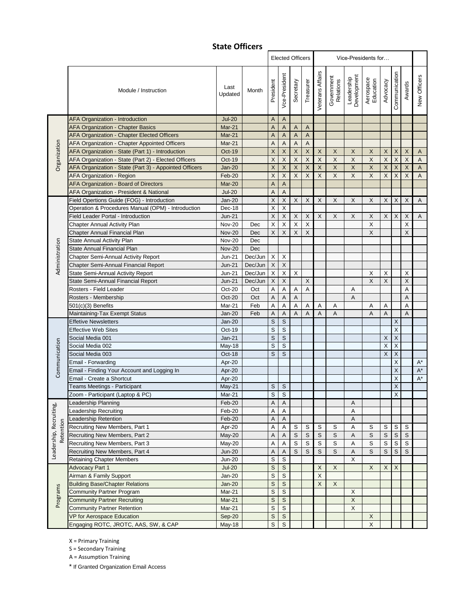### **State Officers**

|                         |                                                        |                 |            | <b>Elected Officers</b><br>Vice-Presidents for |                           |                           |                           |                    |                           |                           |                           |                         |               |                           |                         |
|-------------------------|--------------------------------------------------------|-----------------|------------|------------------------------------------------|---------------------------|---------------------------|---------------------------|--------------------|---------------------------|---------------------------|---------------------------|-------------------------|---------------|---------------------------|-------------------------|
|                         | Module / Instruction                                   | Last<br>Updated | Month      | President                                      | Vce-President             | Secretary                 | Treasurer                 | Veterans Affairs   | Government<br>Relations   | Leadership<br>Development | Aerospace<br>Education    | Advocacy                | Communication | Awards                    | New Officers            |
|                         | AFA Organization - Introduction                        | <b>Jul-20</b>   |            | A                                              | $\mathsf{A}$              |                           |                           |                    |                           |                           |                           |                         |               |                           |                         |
|                         | AFA Organization - Chapter Basics                      | Mar-21          |            | A                                              | $\mathsf{A}$              | A                         | $\overline{A}$            |                    |                           |                           |                           |                         |               |                           |                         |
|                         | AFA Organization - Chapter Elected Officers            | Mar-21          |            | Α                                              | $\overline{A}$            | $\mathsf A$               | $\sf A$                   |                    |                           |                           |                           |                         |               |                           |                         |
| Organization            | AFA Organization - Chapter Appointed Officers          | Mar-21          |            | Α                                              | A                         | $\mathsf{A}$              | A                         |                    |                           |                           |                           |                         |               |                           |                         |
|                         | AFA Organization - State (Part 1) - Introduction       | Oct-19          |            | X                                              | $\overline{\mathsf{x}}$   | $\mathsf X$               | $\boldsymbol{\mathsf{X}}$ | $\sf X$            | $\mathsf X$               | $\mathsf X$               | $\boldsymbol{\mathsf{X}}$ | $\mathsf X$             | $\mathsf X$   | $\boldsymbol{\mathsf{X}}$ | $\boldsymbol{A}$        |
|                         | AFA Organization - State (Part 2) - Elected Officers   | Oct-19          |            | X                                              | $\sf X$                   | $\mathsf X$               | $\overline{\mathsf{X}}$   | $\sf X$            | X                         | X                         | X                         | $\overline{\mathsf{X}}$ | $\mathsf X$   | X                         | $\overline{A}$          |
|                         | AFA Organization - State (Part 3) - Appointed Officers | <b>Jan-20</b>   |            | X                                              | $\overline{\mathsf{x}}$   | $\mathsf X$               | $\overline{\mathsf{X}}$   | $\pmb{\mathsf{X}}$ | $\mathsf X$               | $\mathsf X$               | $\mathsf X$               | $\mathsf X$             | $\sf X$       | $\sf X$                   | $\overline{\mathsf{A}}$ |
|                         | <b>AFA Organization - Region</b>                       | Feb-20          |            | X                                              | $\mathsf X$               | $\mathsf X$               | $\sf X$                   | X                  | X                         | X                         | X                         | $\overline{\mathsf{X}}$ | X             | X                         | $\sf A$                 |
|                         | AFA Organization - Board of Directors                  | Mar-20          |            | A                                              | $\mathsf A$               |                           |                           |                    |                           |                           |                           |                         |               |                           |                         |
|                         | AFA Organization - President & National                | <b>Jul-20</b>   |            | A                                              | $\overline{A}$            |                           |                           |                    |                           |                           |                           |                         |               |                           |                         |
|                         | Field Opertions Guide (FOG) - Introduction             | $Jan-20$        |            | $\mathsf X$                                    | $\mathsf X$               | $\mathsf{X}$              | X                         | X                  | X                         | X                         | X                         | X                       | $\mathsf X$   | X                         | $\mathsf A$             |
|                         | Operation & Procedures Manual (OPM) - Introduction     | Dec-18          |            | Χ                                              | $\mathsf X$               |                           |                           |                    |                           |                           |                           |                         |               |                           |                         |
|                         | Field Leader Portal - Introduction                     | $Jun-21$        |            | $\sf X$                                        | $\boldsymbol{\mathsf{X}}$ | $\mathsf X$               | $\mathsf X$               | X                  | $\boldsymbol{\mathsf{X}}$ | $\pmb{\times}$            | $\boldsymbol{\mathsf{X}}$ | X                       | X             | X                         | A                       |
|                         | <b>Chapter Annual Activity Plan</b>                    | <b>Nov-20</b>   | Dec        | Χ                                              | $\sf X$                   | $\mathsf X$               | $\overline{\mathsf{X}}$   |                    |                           |                           | $\boldsymbol{\mathsf{X}}$ |                         |               | X                         |                         |
|                         | Chapter Annual Financial Plan                          | <b>Nov-20</b>   | Dec        | X                                              | $\mathsf X$               | $\mathsf X$               | $\mathsf X$               |                    |                           |                           | $\times$                  |                         |               | X                         |                         |
|                         | State Annual Activity Plan                             | <b>Nov-20</b>   | Dec        |                                                |                           |                           |                           |                    |                           |                           |                           |                         |               |                           |                         |
| Administration          | State Annual Financial Plan                            | <b>Nov-20</b>   | <b>Dec</b> |                                                |                           |                           |                           |                    |                           |                           |                           |                         |               |                           |                         |
|                         | <b>Chapter Semi-Annual Activity Report</b>             | <b>Jun-21</b>   | Dec/Jun    | Χ                                              | X                         |                           |                           |                    |                           |                           |                           |                         |               |                           |                         |
|                         | Chapter Semi-Annual Financial Report                   | $Jun-21$        | Dec/Jun    | $\mathsf X$                                    | $\mathsf X$               |                           |                           |                    |                           |                           |                           |                         |               |                           |                         |
|                         | State Semi-Annual Activity Report                      | $Jun-21$        | Dec/Jun    | X                                              | X                         | X                         |                           |                    |                           |                           | X                         | X                       |               | X                         |                         |
|                         | State Semi-Annual Financial Report                     | $Jun-21$        | Dec/Jun    | $\mathsf X$                                    | $\times$                  |                           | $\boldsymbol{\mathsf{X}}$ |                    |                           |                           | X                         | Χ                       |               | X                         |                         |
|                         | Rosters - Field Leader                                 | Oct-20          | Oct        | A                                              | $\overline{A}$            | А                         | A                         |                    |                           | Α                         |                           |                         |               | A                         |                         |
|                         | Rosters - Membership                                   | <b>Oct-20</b>   | Oct        | A                                              | A                         | $\boldsymbol{\mathsf{A}}$ |                           |                    |                           | Α                         |                           |                         |               | A                         |                         |
|                         | $501(c)(3)$ Benefits                                   | Mar-21          | Feb        | A                                              | A                         | Α                         | Α                         | Α                  | Α                         |                           | Α                         | Α                       |               | A                         |                         |
|                         | Maintaining-Tax Exempt Status                          | <b>Jan-20</b>   | Feb        | A                                              | A                         | $\overline{A}$            | A                         | $\overline{A}$     | $\overline{A}$            |                           | A                         | A                       |               | $\overline{A}$            |                         |
|                         | <b>Effetive Newsletters</b>                            | $Jan-20$        |            | $\mathsf S$                                    | $\mathsf{s}$              |                           |                           |                    |                           |                           |                           |                         | X             |                           |                         |
|                         | <b>Effective Web Sites</b>                             | Oct-19          |            | S                                              | $\mathsf S$               |                           |                           |                    |                           |                           |                           |                         | X             |                           |                         |
|                         | Social Media 001                                       | $Jan-21$        |            | $\mathsf S$                                    | $\overline{s}$            |                           |                           |                    |                           |                           |                           | $\mathsf X$             | $\mathsf X$   |                           |                         |
| Communication           | Social Media 002                                       | May-18          |            | S                                              | $\mathsf S$               |                           |                           |                    |                           |                           |                           | X                       | X             |                           |                         |
|                         | Social Media 003                                       | Oct-18          |            | S                                              | S                         |                           |                           |                    |                           |                           |                           | X                       | X             |                           |                         |
|                         | Email - Forwarding                                     | Apr-20          |            |                                                |                           |                           |                           |                    |                           |                           |                           |                         | Χ             |                           | $\mathsf{A}^{\star}$    |
|                         | Email - Finding Your Account and Logging In            | Apr-20          |            |                                                |                           |                           |                           |                    |                           |                           |                           |                         | X             |                           | $\mathsf{A}^{\star}$    |
|                         | Email - Create a Shortcut                              | Apr-20          |            |                                                |                           |                           |                           |                    |                           |                           |                           |                         | X             |                           | $A^*$                   |
|                         | Teams Meetings - Participant                           | May-21          |            | S                                              | $\mathsf S$               |                           |                           |                    |                           |                           |                           |                         | X             |                           |                         |
|                         | Zoom - Participant (Laptop & PC)                       | Mar-21          |            | S                                              | $\mathsf S$               |                           |                           |                    |                           |                           |                           |                         | Χ             |                           |                         |
|                         | Leadership Planning                                    | $Feb-20$        |            | $\overline{\mathsf{A}}$                        | $\overline{A}$            |                           |                           |                    |                           | A                         |                           |                         |               |                           |                         |
| Leadership, Recruiting, | <b>Leadership Recruiting</b>                           | Feb-20          |            | Α                                              | A                         |                           |                           |                    |                           | Α                         |                           |                         |               |                           |                         |
|                         | Leadership Retention                                   | Feb-20          |            | Α                                              | Α                         |                           |                           |                    |                           | Α                         |                           |                         |               |                           |                         |
| Retention               | Recruiting New Members, Part 1                         | Apr-20          |            | Α                                              | A                         | $\mbox{\textsc{s}}$       | S                         | S                  | S                         | Α                         | S                         | S                       | S             | S                         |                         |
|                         | Recruiting New Members, Part 2                         | May-20          |            | Α                                              | Α                         | $\mathsf S$               | $\mathsf S$               | S                  | $\mathsf S$               | Α                         | $\mathsf S$               | $\mathbb S$             | S             | S                         |                         |
|                         | Recruiting New Members, Part 3                         | May-20          |            | Α                                              | Α                         | $\mathbb S$               | $\mathbb S$               | S                  | S                         | A                         | S                         | S                       | S             | S                         |                         |
|                         | Recruiting New Members, Part 4                         | <b>Jun-20</b>   |            | Α                                              | Α                         | $\mathsf S$               | $\mathsf S$               | S                  | $\mathsf S$               | А                         | $\mathsf S$               | S                       | S             | $\mathsf S$               |                         |
|                         | <b>Retaining Chapter Members</b>                       | <b>Jun-20</b>   |            | S                                              | $\mathsf S$               |                           |                           |                    |                           | X                         |                           |                         |               |                           |                         |
|                         | Advocacy Part 1                                        | $Jul-20$        |            | S                                              | S                         |                           |                           | X                  | X                         |                           | X                         | X                       | X             |                           |                         |
|                         | Airman & Family Support                                | $Jan-20$        |            | S                                              | S                         |                           |                           | X                  |                           |                           |                           |                         |               |                           |                         |
|                         | <b>Building Base/Chapter Relations</b>                 | $Jan-20$        |            | S                                              | S                         |                           |                           | X                  | X                         |                           |                           |                         |               |                           |                         |
|                         | <b>Community Partner Program</b>                       | Mar-21          |            | S                                              | S                         |                           |                           |                    |                           | X                         |                           |                         |               |                           |                         |
| Programs                | <b>Community Partner Recruiting</b>                    | Mar-21          |            | S                                              | $\mathsf S$               |                           |                           |                    |                           | $\mathsf X$               |                           |                         |               |                           |                         |
|                         | <b>Community Partner Retention</b>                     | Mar-21          |            | S                                              | $\mathsf S$               |                           |                           |                    |                           | $\mathsf X$               |                           |                         |               |                           |                         |
|                         | VP for Aerospace Education                             | $Sep-20$        |            | S                                              | $\mathsf S$               |                           |                           |                    |                           |                           | $\mathsf X$               |                         |               |                           |                         |
|                         | Engaging ROTC, JROTC, AAS, SW, & CAP                   | May-18          |            | S                                              | $\mathsf S$               |                           |                           |                    |                           |                           | $\boldsymbol{\mathsf{X}}$ |                         |               |                           |                         |

X = Primary Training

S = Secondary Training

A = Assumption Training